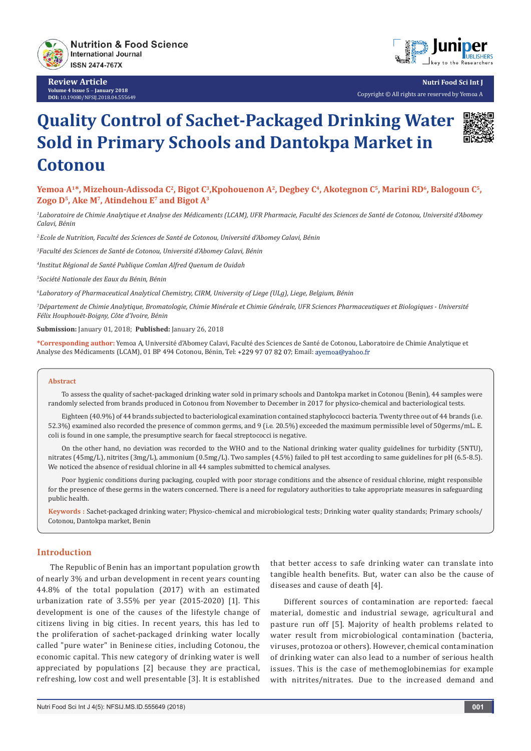

**Review Article Volume 4 Issue 5** - **January 2018 DOI:** [10.19080/NFSIJ.2018.04.555649](http://dx.doi.org/10.19080/NFSIJ.2018.04.555649)



**Nutri Food Sci Int J** Copyright © All rights are reserved by Yemoa A

# **Quality Control of Sachet-Packaged Drinking Water Sold in Primary Schools and Dantokpa Market in Cotonou**



*1 Laboratoire de Chimie Analytique et Analyse des Médicaments (LCAM), UFR Pharmacie, Faculté des Sciences de Santé de Cotonou, Université d'Abomey Calavi, Bénin*

*2.Ecole de Nutrition, Faculté des Sciences de Santé de Cotonou, Université d'Abomey Calavi, Bénin*

*3 Faculté des Sciences de Santé de Cotonou, Université d'Abomey Calavi, Bénin*

*4 Institut Régional de Santé Publique Comlan Alfred Quenum de Ouidah*

*5 Société Nationale des Eaux du Bénin, Bénin*

*6 Laboratory of Pharmaceutical Analytical Chemistry, CIRM, University of Liege (ULg), Liege, Belgium, Bénin*

*7 Département de Chimie Analytique, Bromatologie, Chimie Minérale et Chimie Générale, UFR Sciences Pharmaceutiques et Biologiques - Université Félix Houphouët-Boigny, Côte d'Ivoire, Bénin*

**Submission:** January 01, 2018; **Published:** January 26, 2018

**\*Corresponding author:** Yemoa A, Université d'Abomey Calavi, Faculté des Sciences de Santé de Cotonou, Laboratoire de Chimie Analytique et Analyse des Médicaments (LCAM), 01 BP 494 Cotonou, Bénin, Tel: +229 97 07 82 07; Email: ayemoa@yahoo.fr

#### **Abstract**

To assess the quality of sachet-packaged drinking water sold in primary schools and Dantokpa market in Cotonou (Benin), 44 samples were randomly selected from brands produced in Cotonou from November to December in 2017 for physico-chemical and bacteriological tests.

Eighteen (40.9%) of 44 brands subjected to bacteriological examination contained staphylococci bacteria. Twenty three out of 44 brands (i.e. 52.3%) examined also recorded the presence of common germs, and 9 (i.e. 20.5%) exceeded the maximum permissible level of 50germs/mL. E. coli is found in one sample, the presumptive search for faecal streptococci is negative.

On the other hand, no deviation was recorded to the WHO and to the National drinking water quality guidelines for turbidity (5NTU), nitrates (45mg/L), nitrites (3mg/L), ammonium (0.5mg/L). Two samples (4.5%) failed to pH test according to same guidelines for pH (6.5-8.5). We noticed the absence of residual chlorine in all 44 samples submitted to chemical analyses.

Poor hygienic conditions during packaging, coupled with poor storage conditions and the absence of residual chlorine, might responsible for the presence of these germs in the waters concerned. There is a need for regulatory authorities to take appropriate measures in safeguarding public health.

**Keywords :** Sachet-packaged drinking water; Physico-chemical and microbiological tests; Drinking water quality standards; Primary schools/ Cotonou, Dantokpa market, Benin

#### **Introduction**

The Republic of Benin has an important population growth of nearly 3% and urban development in recent years counting 44.8% of the total population (2017) with an estimated urbanization rate of 3.55% per year (2015-2020) [1]. This development is one of the causes of the lifestyle change of citizens living in big cities. In recent years, this has led to the proliferation of sachet-packaged drinking water locally called "pure water" in Beninese cities, including Cotonou, the economic capital. This new category of drinking water is well appreciated by populations [2] because they are practical, refreshing, low cost and well presentable [3]. It is established

that better access to safe drinking water can translate into tangible health benefits. But, water can also be the cause of diseases and cause of death [4].

Different sources of contamination are reported: faecal material, domestic and industrial sewage, agricultural and pasture run off [5]. Majority of health problems related to water result from microbiological contamination (bacteria, viruses, protozoa or others). However, chemical contamination of drinking water can also lead to a number of serious health issues. This is the case of methemoglobinemias for example with nitrites/nitrates. Due to the increased demand and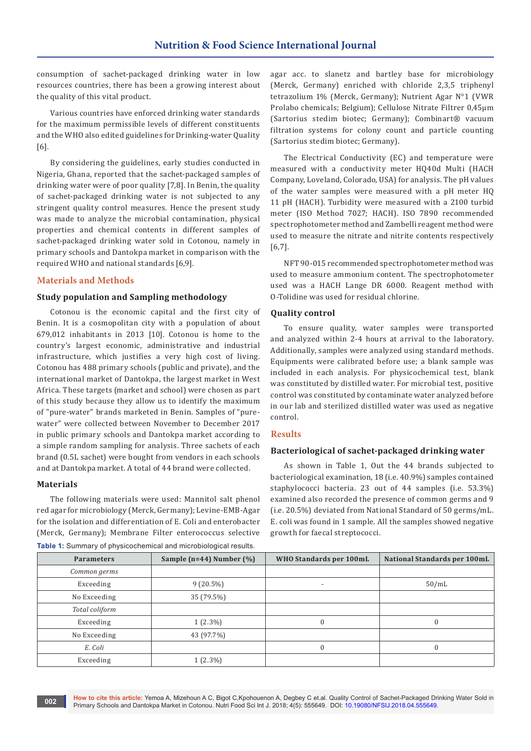consumption of sachet-packaged drinking water in low resources countries, there has been a growing interest about the quality of this vital product.

Various countries have enforced drinking water standards for the maximum permissible levels of different constituents and the WHO also edited guidelines for Drinking-water Quality [6].

By considering the guidelines, early studies conducted in Nigeria, Ghana, reported that the sachet-packaged samples of drinking water were of poor quality [7,8]. In Benin, the quality of sachet-packaged drinking water is not subjected to any stringent quality control measures. Hence the present study was made to analyze the microbial contamination, physical properties and chemical contents in different samples of sachet-packaged drinking water sold in Cotonou, namely in primary schools and Dantokpa market in comparison with the required WHO and national standards [6,9].

#### **Materials and Methods**

#### **Study population and Sampling methodology**

Cotonou is the economic capital and the first city of Benin. It is a cosmopolitan city with a population of about 679,012 inhabitants in 2013 [10]. Cotonou is home to the country's largest economic, administrative and industrial infrastructure, which justifies a very high cost of living. Cotonou has 488 primary schools (public and private), and the international market of Dantokpa, the largest market in West Africa. These targets (market and school) were chosen as part of this study because they allow us to identify the maximum of "pure-water" brands marketed in Benin. Samples of "purewater" were collected between November to December 2017 in public primary schools and Dantokpa market according to a simple random sampling for analysis. Three sachets of each brand (0.5L sachet) were bought from vendors in each schools and at Dantokpa market. A total of 44 brand were collected.

#### **Materials**

The following materials were used: Mannitol salt phenol red agar for microbiology (Merck, Germany); Levine-EMB-Agar for the isolation and differentiation of E. Coli and enterobacter (Merck, Germany); Membrane Filter enterococcus selective **Table 1:** Summary of physicochemical and microbiological results.

agar acc. to slanetz and bartley base for microbiology (Merck, Germany) enriched with chloride 2,3,5 triphenyl tetrazolium 1% (Merck, Germany); Nutrient Agar N°1 (VWR Prolabo chemicals; Belgium); Cellulose Nitrate Filtrer 0,45µm (Sartorius stedim biotec; Germany); Combinart® vacuum filtration systems for colony count and particle counting (Sartorius stedim biotec; Germany).

The Electrical Conductivity (EC) and temperature were measured with a conductivity meter HQ40d Multi (HACH Company, Loveland, Colorado, USA) for analysis. The pH values of the water samples were measured with a pH meter HQ 11 pH (HACH). Turbidity were measured with a 2100 turbid meter (ISO Method 7027; HACH). ISO 7890 recommended spectrophotometer method and Zambelli reagent method were used to measure the nitrate and nitrite contents respectively [6,7].

NFT 90-015 recommended spectrophotometer method was used to measure ammonium content. The spectrophotometer used was a HACH Lange DR 6000. Reagent method with O-Tolidine was used for residual chlorine.

#### **Quality control**

To ensure quality, water samples were transported and analyzed within 2-4 hours at arrival to the laboratory. Additionally, samples were analyzed using standard methods. Equipments were calibrated before use; a blank sample was included in each analysis. For physicochemical test, blank was constituted by distilled water. For microbial test, positive control was constituted by contaminate water analyzed before in our lab and sterilized distilled water was used as negative control.

#### **Results**

#### **Bacteriological of sachet-packaged drinking water**

As shown in Table 1, Out the 44 brands subjected to bacteriological examination, 18 (i.e. 40.9%) samples contained staphylococci bacteria. 23 out of 44 samples (i.e. 53.3%) examined also recorded the presence of common germs and 9 (i.e. 20.5%) deviated from National Standard of 50 germs/mL. E. coli was found in 1 sample. All the samples showed negative growth for faecal streptococci.

| <b>Parameters</b> | Sample (n=44) Number $(\%)$ | WHO Standards per 100mL | National Standards per 100mL |
|-------------------|-----------------------------|-------------------------|------------------------------|
| Common germs      |                             |                         |                              |
| Exceeding         | $9(20.5\%)$                 |                         | 50/mL                        |
| No Exceeding      | 35 (79.5%)                  |                         |                              |
| Total coliform    |                             |                         |                              |
| Exceeding         | $1(2.3\%)$                  |                         | $\Omega$                     |
| No Exceeding      | 43 (97.7%)                  |                         |                              |
| E. Coli           |                             |                         | $\Omega$                     |
| Exceeding         | $1(2.3\%)$                  |                         |                              |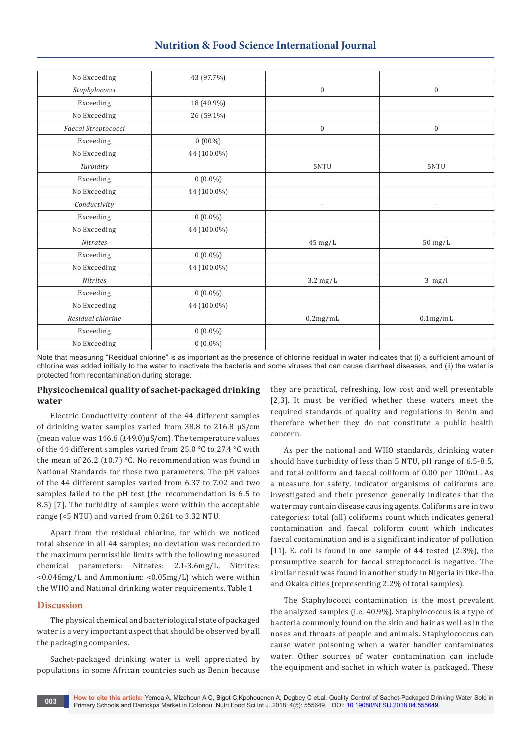## **Nutrition & Food Science International Journal**

| No Exceeding        | 43 (97.7%)  |                          |                          |
|---------------------|-------------|--------------------------|--------------------------|
| Staphylococci       |             | $\boldsymbol{0}$         | $\mathbf{0}$             |
| Exceeding           | 18 (40.9%)  |                          |                          |
| No Exceeding        | 26 (59.1%)  |                          |                          |
| Faecal Streptococci |             | $\boldsymbol{0}$         | $\boldsymbol{0}$         |
| Exceeding           | $0(00\%)$   |                          |                          |
| No Exceeding        | 44 (100.0%) |                          |                          |
| Turbidity           |             | 5NTU                     | 5NTU                     |
| Exceeding           | $0(0.0\%)$  |                          |                          |
| No Exceeding        | 44 (100.0%) |                          |                          |
| Conductivity        |             | $\overline{\phantom{a}}$ | $\overline{\phantom{a}}$ |
| Exceeding           | $0(0.0\%)$  |                          |                          |
| No Exceeding        | 44 (100.0%) |                          |                          |
| <b>Nitrates</b>     |             | $45$ mg/L                | $50$ mg/L                |
| Exceeding           | $0(0.0\%)$  |                          |                          |
| No Exceeding        | 44 (100.0%) |                          |                          |
| <b>Nitrites</b>     |             | $3.2 \text{ mg/L}$       | $3$ mg/l                 |
| Exceeding           | $0(0.0\%)$  |                          |                          |
| No Exceeding        | 44 (100.0%) |                          |                          |
| Residual chlorine   |             | 0.2mg/mL                 | $0.1 \text{mg/mL}$       |
| Exceeding           | $0(0.0\%)$  |                          |                          |
| No Exceeding        | $0(0.0\%)$  |                          |                          |

Note that measuring "Residual chlorine" is as important as the presence of chlorine residual in water indicates that (i) a sufficient amount of chlorine was added initially to the water to inactivate the bacteria and some viruses that can cause diarrheal diseases, and (ii) the water is protected from recontamination during storage.

#### **Physicochemical quality of sachet-packaged drinking water**

Electric Conductivity content of the 44 different samples of drinking water samples varied from 38.8 to 216.8 μS/cm (mean value was 146.6 (±49.0)μS/cm). The temperature values of the 44 different samples varied from 25.0 °C to 27.4 °C with the mean of 26.2 ( $\pm$ 0.7) °C. No recommendation was found in National Standards for these two parameters. The pH values of the 44 different samples varied from 6.37 to 7.02 and two samples failed to the pH test (the recommendation is 6.5 to 8.5) [7]. The turbidity of samples were within the acceptable range (<5 NTU) and varied from 0.261 to 3.32 NTU.

Apart from the residual chlorine, for which we noticed total absence in all 44 samples; no deviation was recorded to the maximum permissible limits with the following measured chemical parameters: Nitrates: 2.1-3.6mg/L, Nitrites: <0.046mg/L and Ammonium: <0.05mg/L) which were within the WHO and National drinking water requirements. Table 1

### **Discussion**

The physical chemical and bacteriological state of packaged water is a very important aspect that should be observed by all the packaging companies.

Sachet-packaged drinking water is well appreciated by populations in some African countries such as Benin because they are practical, refreshing, low cost and well presentable [2,3]. It must be verified whether these waters meet the required standards of quality and regulations in Benin and therefore whether they do not constitute a public health concern.

As per the national and WHO standards, drinking water should have turbidity of less than 5 NTU, pH range of 6.5-8.5, and total coliform and faecal coliform of 0.00 per 100mL. As a measure for safety, indicator organisms of coliforms are investigated and their presence generally indicates that the water may contain disease causing agents. Coliforms are in two categories: total (all) coliforms count which indicates general contamination and faecal coliform count which indicates faecal contamination and is a significant indicator of pollution [11]. E. coli is found in one sample of 44 tested (2.3%), the presumptive search for faecal streptococci is negative. The similar result was found in another study in Nigeria in Oke-Iho and Okaka cities (representing 2.2% of total samples).

The Staphylococci contamination is the most prevalent the analyzed samples (i.e. 40.9%). Staphylococcus is a type of bacteria commonly found on the skin and hair as well as in the noses and throats of people and animals. Staphylococcus can cause water poisoning when a water handler contaminates water. Other sources of water contamination can include the equipment and sachet in which water is packaged. These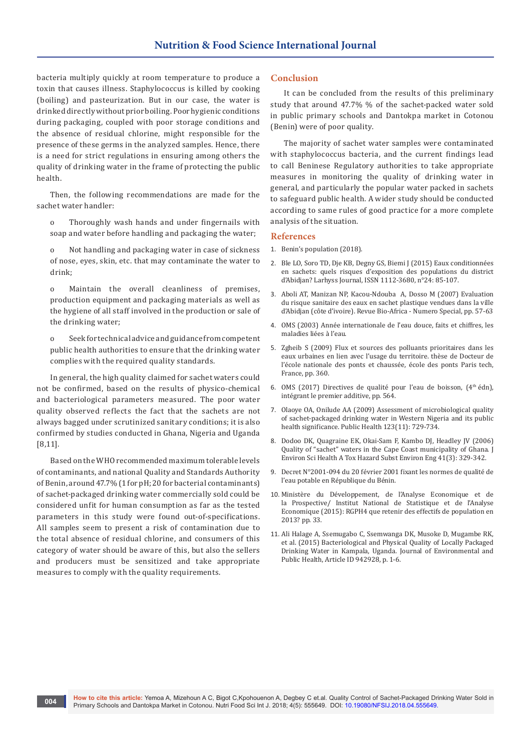bacteria multiply quickly at room temperature to produce a toxin that causes illness. Staphylococcus is killed by cooking (boiling) and pasteurization. But in our case, the water is drinked directly without prior boiling. Poor hygienic conditions during packaging, coupled with poor storage conditions and the absence of residual chlorine, might responsible for the presence of these germs in the analyzed samples. Hence, there is a need for strict regulations in ensuring among others the quality of drinking water in the frame of protecting the public health.

Then, the following recommendations are made for the sachet water handler:

- o Thoroughly wash hands and under fingernails with soap and water before handling and packaging the water;
- o Not handling and packaging water in case of sickness of nose, eyes, skin, etc. that may contaminate the water to drink;

o Maintain the overall cleanliness of premises, production equipment and packaging materials as well as the hygiene of all staff involved in the production or sale of the drinking water;

o Seek for technical advice and guidance from competent public health authorities to ensure that the drinking water complies with the required quality standards.

In general, the high quality claimed for sachet waters could not be confirmed, based on the results of physico-chemical and bacteriological parameters measured. The poor water quality observed reflects the fact that the sachets are not always bagged under scrutinized sanitary conditions; it is also confirmed by studies conducted in Ghana, Nigeria and Uganda [8,11].

Based on the WHO recommended maximum tolerable levels of contaminants, and national Quality and Standards Authority of Benin, around 47.7% (1 for pH; 20 for bacterial contaminants) of sachet-packaged drinking water commercially sold could be considered unfit for human consumption as far as the tested parameters in this study were found out-of-specifications. All samples seem to present a risk of contamination due to the total absence of residual chlorine, and consumers of this category of water should be aware of this, but also the sellers and producers must be sensitized and take appropriate measures to comply with the quality requirements.

#### **Conclusion**

It can be concluded from the results of this preliminary study that around 47.7% % of the sachet-packed water sold in public primary schools and Dantokpa market in Cotonou (Benin) were of poor quality.

The majority of sachet water samples were contaminated with staphylococcus bacteria, and the current findings lead to call Beninese Regulatory authorities to take appropriate measures in monitoring the quality of drinking water in general, and particularly the popular water packed in sachets to safeguard public health. A wider study should be conducted according to same rules of good practice for a more complete analysis of the situation.

#### **References**

- 1. [Benin's population \(2018\).](http://worldpopulationreview.com/countries/benin-population/)
- 2. Ble LO, Soro TD, Dje KB, Degny GS, Biemi J (2015) Eaux conditionnées en sachets: quels risques d'exposition des populations du district d'Abidjan? Larhyss Journal, ISSN 1112-3680, n°24: 85-107.
- 3. Aboli AT, Manizan NP, Kacou-Ndouba A, Dosso M (2007) Evaluation du risque sanitaire des eaux en sachet plastique vendues dans la ville d'Abidjan (côte d'ivoire). Revue Bio-Africa - Numero Special, pp. 57-63
- 4. [OMS \(2003\) Année internationale de l'eau douce, faits et chiffres, les](http://www.un.org/french/events/water/brochure/pages/1.htm)  [maladies liées à l'eau.](http://www.un.org/french/events/water/brochure/pages/1.htm)
- 5. Zgheib S (2009) Flux et sources des polluants prioritaires dans les eaux urbaines en lien avec l'usage du territoire. thèse de Docteur de l'école nationale des ponts et chaussée, école des ponts Paris tech, France, pp. 360.
- 6. OMS (2017) Directives de qualité pour l'eau de boisson, (4<sup>th</sup> édn), intégrant le premier additive, pp. 564.
- 7. [Olaoye OA, Onilude AA \(2009\) Assessment of microbiological quality](https://www.ncbi.nlm.nih.gov/pubmed/19880150)  [of sachet-packaged drinking water in Western Nigeria and its public](https://www.ncbi.nlm.nih.gov/pubmed/19880150)  [health significance. Public Health 123\(11\): 729-734.](https://www.ncbi.nlm.nih.gov/pubmed/19880150)
- 8. [Dodoo DK, Quagraine EK, Okai-Sam F, Kambo DJ, Headley JV \(2006\)](https://www.ncbi.nlm.nih.gov/pubmed/16484067)  [Quality of "sachet" waters in the Cape Coast municipality of Ghana. J](https://www.ncbi.nlm.nih.gov/pubmed/16484067)  [Environ Sci Health A Tox Hazard Subst Environ Eng 41\(3\): 329-342.](https://www.ncbi.nlm.nih.gov/pubmed/16484067)
- 9. Decret N°2001-094 du 20 février 2001 fixant les normes de qualité de l'eau potable en République du Bénin.
- 10. Ministère du Développement, de l'Analyse Economique et de la Prospective/ Institut National de Statistique et de l'Analyse Economique (2015): RGPH4 que retenir des effectifs de population en 2013? pp. 33.
- 11. Ali Halage A, Ssemugabo C, Ssemwanga DK, Musoke D, Mugambe RK, et al. (2015) Bacteriological and Physical Quality of Locally Packaged Drinking Water in Kampala, Uganda. Journal of Environmental and Public Health, Article ID 942928, p. 1-6.